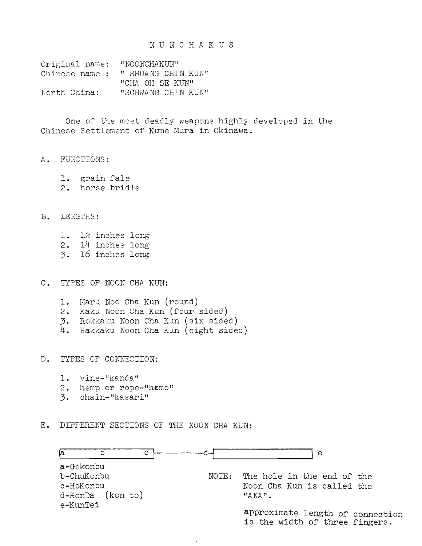## NUNCHAKUS

| Original name: | "NOONCHAKUN"       |
|----------------|--------------------|
| Chinese name : | " SHUANG CHIN KUN" |
|                | "CHA OH SE KUN"    |
| North China:   | "SCHWANG CHIN KUN" |

One of the most deadly weapons highly developed in the Chinese Settlement of Kume Mura in Okinawa.

- A. FUNCTIONS:
	- 1. grain fale 2. horse bridle
- 
- B. LENGTHS:
	- 1. 12 inches long 2. 14 inches long
	- 3. 16 inches long

C. TYPES OF NOON CHA KUN:

- 1. Haru Noo Cha Kun (round)
- 2. Kaku Noon Cha Kun (four sided)
- 3. Rokkaku Noon Cha Kun (six sided)
- 4. Hakkaku Noon Cha Kun (eight sided)
- D. TYPES OF CONNECTION:
	- 1. vine-"kanda"
	- 2. hemp or rope-"hemo"
	- 3. chain-"kasari"
- E. DIFFERENT SECTIONS OF THE NOON CHA KUN:

| ۱a       |                     | C.    | e                                                                  |
|----------|---------------------|-------|--------------------------------------------------------------------|
|          | a-Gekonbu           |       |                                                                    |
|          | b-ChuKonbu          | NOTE: | The hole in the end of the                                         |
|          | c-HoKonbu           |       | Noon Cha Kun is called the                                         |
|          | $d -$ KonDa (konto) |       | $"AND"$ .                                                          |
| e-KunTei |                     |       |                                                                    |
|          |                     |       | approximate length of connection<br>is the width of three fingers. |

 $\ddot{\phantom{a}}$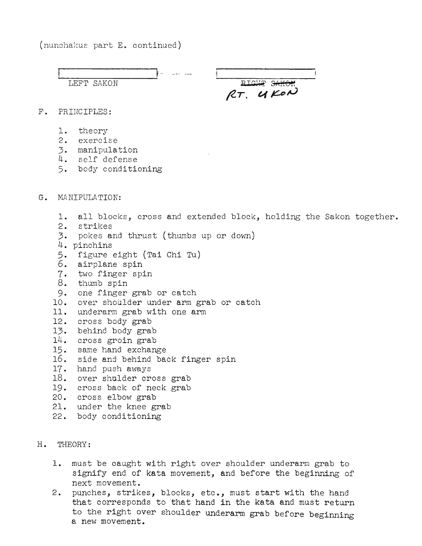(nunchakus part E. continued)



## H. THEORY:

- 1. must be caught with right over shoulder underarm grab to signify end of kata movement, and before the beginning of next movement.
- 2. punches, strikes, blocks, etc., must start with the hand that corresponds to that hand in the kata and must return to the right over shoulder underarm grab before beginning a new movement.